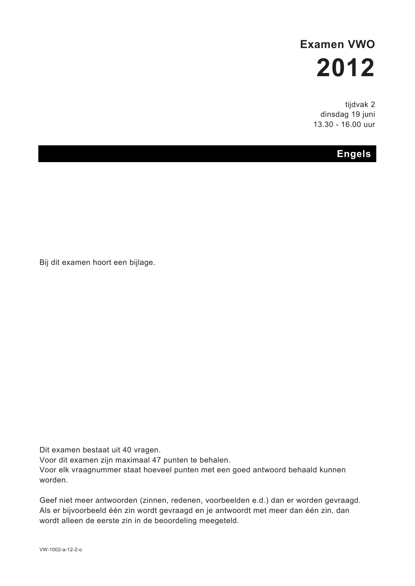# **Examen VWO 2012**

tijdvak 2 dinsdag 19 juni 13.30 - 16.00 uur

# **Engels**

Bij dit examen hoort een bijlage.

Dit examen bestaat uit 40 vragen.

Voor dit examen zijn maximaal 47 punten te behalen.

Voor elk vraagnummer staat hoeveel punten met een goed antwoord behaald kunnen worden.

Geef niet meer antwoorden (zinnen, redenen, voorbeelden e.d.) dan er worden gevraagd. Als er bijvoorbeeld één zin wordt gevraagd en je antwoordt met meer dan één zin, dan wordt alleen de eerste zin in de beoordeling meegeteld.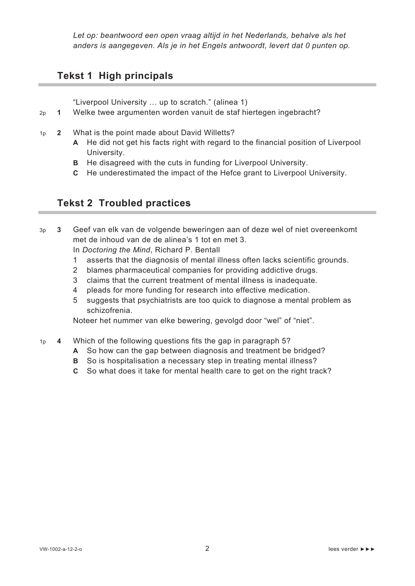*Let op: beantwoord een open vraag altijd in het Nederlands, behalve als het anders is aangegeven. Als je in het Engels antwoordt, levert dat 0 punten op.*

# **Tekst 1 High principals**

"Liverpool University … up to scratch." (alinea 1)

- 2p **1** Welke twee argumenten worden vanuit de staf hiertegen ingebracht?
- 1p **2** What is the point made about David Willetts?
	- **A** He did not get his facts right with regard to the financial position of Liverpool University.
	- **B** He disagreed with the cuts in funding for Liverpool University.
	- **C** He underestimated the impact of the Hefce grant to Liverpool University.

# **Tekst 2 Troubled practices**

3p **3** Geef van elk van de volgende beweringen aan of deze wel of niet overeenkomt met de inhoud van de de alinea's 1 tot en met 3.

In *Doctoring the Mind*, Richard P. Bentall

- 1 asserts that the diagnosis of mental illness often lacks scientific grounds.
- 2 blames pharmaceutical companies for providing addictive drugs.
- 3 claims that the current treatment of mental illness is inadequate.
- 4 pleads for more funding for research into effective medication.
- 5 suggests that psychiatrists are too quick to diagnose a mental problem as schizofrenia.

Noteer het nummer van elke bewering, gevolgd door "wel" of "niet".

- 1p **4** Which of the following questions fits the gap in paragraph 5?
	- **A** So how can the gap between diagnosis and treatment be bridged?
	- **B** So is hospitalisation a necessary step in treating mental illness?
	- **C** So what does it take for mental health care to get on the right track?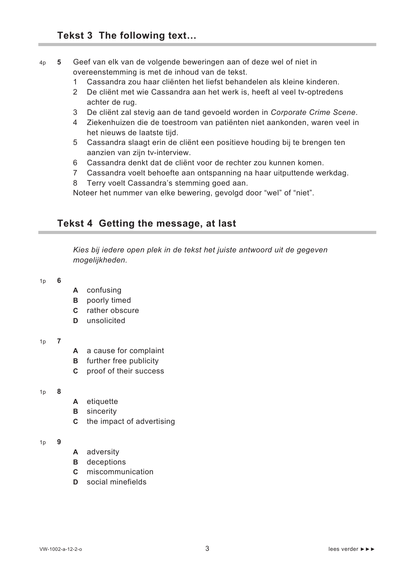## 4p **5** Geef van elk van de volgende beweringen aan of deze wel of niet in overeenstemming is met de inhoud van de tekst.

- 1 Cassandra zou haar cliënten het liefst behandelen als kleine kinderen.
- 2 De cliënt met wie Cassandra aan het werk is, heeft al veel tv-optredens achter de rug.
- 3 De cliënt zal stevig aan de tand gevoeld worden in *Corporate Crime Scene*.
- 4 Ziekenhuizen die de toestroom van patiënten niet aankonden, waren veel in het nieuws de laatste tijd.
- 5 Cassandra slaagt erin de cliënt een positieve houding bij te brengen ten aanzien van zijn tv-interview.
- 6 Cassandra denkt dat de cliënt voor de rechter zou kunnen komen.
- 7 Cassandra voelt behoefte aan ontspanning na haar uitputtende werkdag.
- 8 Terry voelt Cassandra's stemming goed aan.

Noteer het nummer van elke bewering, gevolgd door "wel" of "niet".

## **Tekst 4 Getting the message, at last**

*Kies bij iedere open plek in de tekst het juiste antwoord uit de gegeven mogelijkheden.*

#### 1p **6**

- **A** confusing
- **B** poorly timed
- **C** rather obscure
- **D** unsolicited

## 1p **7**

- **A** a cause for complaint
- **B** further free publicity
- **C** proof of their success

## 1p **8**

- **A** etiquette
- **B** sincerity
- **C** the impact of advertising

#### 1p **9**

- **A** adversity
- **B** deceptions
- **C** miscommunication
- **D** social minefields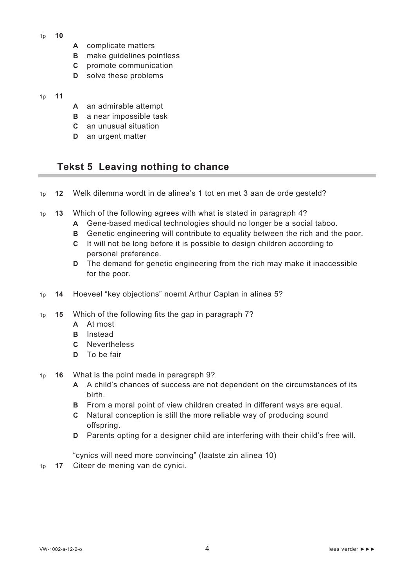- 1p **10**
- **A** complicate matters
- **B** make guidelines pointless
- **C** promote communication
- **D** solve these problems

### 1p **11**

- **A** an admirable attempt
- **B** a near impossible task
- **C** an unusual situation
- **D** an urgent matter

# **Tekst 5 Leaving nothing to chance**

- 1p **12** Welk dilemma wordt in de alinea's 1 tot en met 3 aan de orde gesteld?
- 1p **13** Which of the following agrees with what is stated in paragraph 4?
	- **A** Gene-based medical technologies should no longer be a social taboo.
	- **B** Genetic engineering will contribute to equality between the rich and the poor.
	- **C** It will not be long before it is possible to design children according to personal preference.
	- **D** The demand for genetic engineering from the rich may make it inaccessible for the poor.
- 1p **14** Hoeveel "key objections" noemt Arthur Caplan in alinea 5?
- 1p **15** Which of the following fits the gap in paragraph 7?
	- **A** At most
	- **B** Instead
	- **C** Nevertheless
	- **D** To be fair
- 1p **16** What is the point made in paragraph 9?
	- **A** A child's chances of success are not dependent on the circumstances of its birth.
	- **B** From a moral point of view children created in different ways are equal.
	- **C** Natural conception is still the more reliable way of producing sound offspring.
	- **D** Parents opting for a designer child are interfering with their child's free will.

"cynics will need more convincing" (laatste zin alinea 10)

1p **17** Citeer de mening van de cynici.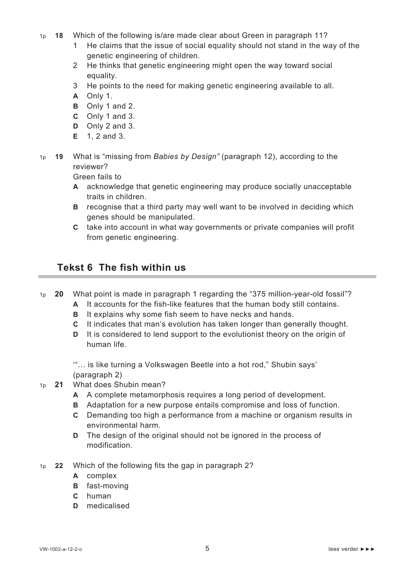- 1p **18** Which of the following is/are made clear about Green in paragraph 11?
	- 1 He claims that the issue of social equality should not stand in the way of the genetic engineering of children.
	- 2 He thinks that genetic engineering might open the way toward social equality.
	- 3 He points to the need for making genetic engineering available to all.
	- **A** Only 1.
	- **B** Only 1 and 2.
	- **C** Only 1 and 3.
	- **D** Only 2 and 3.
	- **E** 1, 2 and 3.
- 1p **19** What is "missing from *Babies by Design"* (paragraph 12), according to the reviewer?

Green fails to

- **A** acknowledge that genetic engineering may produce socially unacceptable traits in children.
- **B** recognise that a third party may well want to be involved in deciding which genes should be manipulated.
- **C** take into account in what way governments or private companies will profit from genetic engineering.

## **Tekst 6 The fish within us**

- 1p **20** What point is made in paragraph 1 regarding the "375 million-year-old fossil"?
	- **A** It accounts for the fish-like features that the human body still contains.
	- **B** It explains why some fish seem to have necks and hands.
	- **C** It indicates that man's evolution has taken longer than generally thought.
	- **D** It is considered to lend support to the evolutionist theory on the origin of human life.

'"… is like turning a Volkswagen Beetle into a hot rod," Shubin says' (paragraph 2)

- 1p **21** What does Shubin mean?
	- **A** A complete metamorphosis requires a long period of development.
	- **B** Adaptation for a new purpose entails compromise and loss of function.
	- **C** Demanding too high a performance from a machine or organism results in environmental harm.
	- **D** The design of the original should not be ignored in the process of modification.
- 1p **22** Which of the following fits the gap in paragraph 2?
	- **A** complex
	- **B** fast-moving
	- **C** human
	- **D** medicalised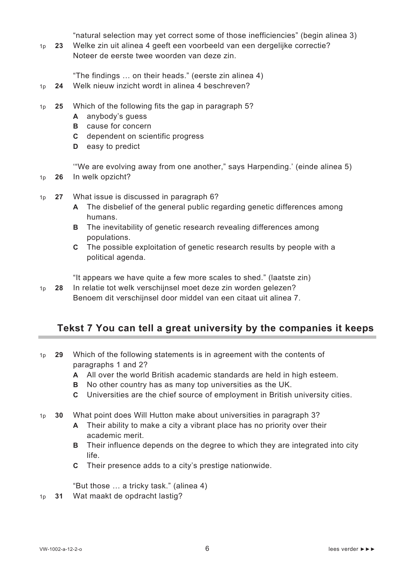"natural selection may yet correct some of those inefficiencies" (begin alinea 3)

1p **23** Welke zin uit alinea 4 geeft een voorbeeld van een dergelijke correctie? Noteer de eerste twee woorden van deze zin.

"The findings … on their heads." (eerste zin alinea 4)

- 1p **24** Welk nieuw inzicht wordt in alinea 4 beschreven?
- 1p **25** Which of the following fits the gap in paragraph 5?
	- **A** anybody's guess
	- **B** cause for concern
	- **C** dependent on scientific progress
	- **D** easy to predict

'"We are evolving away from one another," says Harpending.' (einde alinea 5)

- 1p **26** In welk opzicht?
- 1p **27** What issue is discussed in paragraph 6?
	- **A** The disbelief of the general public regarding genetic differences among humans.
	- **B** The inevitability of genetic research revealing differences among populations.
	- **C** The possible exploitation of genetic research results by people with a political agenda.

"It appears we have quite a few more scales to shed." (laatste zin)

1p **28** In relatie tot welk verschijnsel moet deze zin worden gelezen? Benoem dit verschijnsel door middel van een citaat uit alinea 7.

# **Tekst 7 You can tell a great university by the companies it keeps**

- 1p **29** Which of the following statements is in agreement with the contents of paragraphs 1 and 2?
	- **A** All over the world British academic standards are held in high esteem.
	- **B** No other country has as many top universities as the UK.
	- **C** Universities are the chief source of employment in British university cities.
- 1p **30** What point does Will Hutton make about universities in paragraph 3?
	- **A** Their ability to make a city a vibrant place has no priority over their academic merit.
	- **B** Their influence depends on the degree to which they are integrated into city life.
	- **C** Their presence adds to a city's prestige nationwide.

"But those … a tricky task." (alinea 4)

1p **31** Wat maakt de opdracht lastig?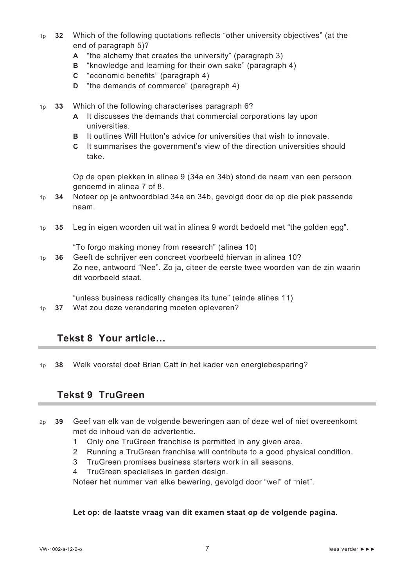- 1p **32** Which of the following quotations reflects "other university objectives" (at the end of paragraph 5)?
	- **A** "the alchemy that creates the university" (paragraph 3)
	- **B** "knowledge and learning for their own sake" (paragraph 4)
	- **C** "economic benefits" (paragraph 4)
	- **D** "the demands of commerce" (paragraph 4)
- 1p **33** Which of the following characterises paragraph 6?
	- **A** It discusses the demands that commercial corporations lay upon universities.
	- **B** It outlines Will Hutton's advice for universities that wish to innovate.
	- **C** It summarises the government's view of the direction universities should take.

Op de open plekken in alinea 9 (34a en 34b) stond de naam van een persoon genoemd in alinea 7 of 8.

- 1p **34** Noteer op je antwoordblad 34a en 34b, gevolgd door de op die plek passende naam.
- 1p **35** Leg in eigen woorden uit wat in alinea 9 wordt bedoeld met "the golden egg".

"To forgo making money from research" (alinea 10)

1p **36** Geeft de schrijver een concreet voorbeeld hiervan in alinea 10? Zo nee, antwoord "Nee". Zo ja, citeer de eerste twee woorden van de zin waarin dit voorbeeld staat.

"unless business radically changes its tune" (einde alinea 11)

1p **37** Wat zou deze verandering moeten opleveren?

## **Tekst 8 Your article…**

1p **38** Welk voorstel doet Brian Catt in het kader van energiebesparing?

## **Tekst 9 TruGreen**

- 2p **39** Geef van elk van de volgende beweringen aan of deze wel of niet overeenkomt met de inhoud van de advertentie.
	- 1 Only one TruGreen franchise is permitted in any given area.
	- 2 Running a TruGreen franchise will contribute to a good physical condition.
	- 3 TruGreen promises business starters work in all seasons.
	- 4 TruGreen specialises in garden design.

Noteer het nummer van elke bewering, gevolgd door "wel" of "niet".

## **Let op: de laatste vraag van dit examen staat op de volgende pagina.**